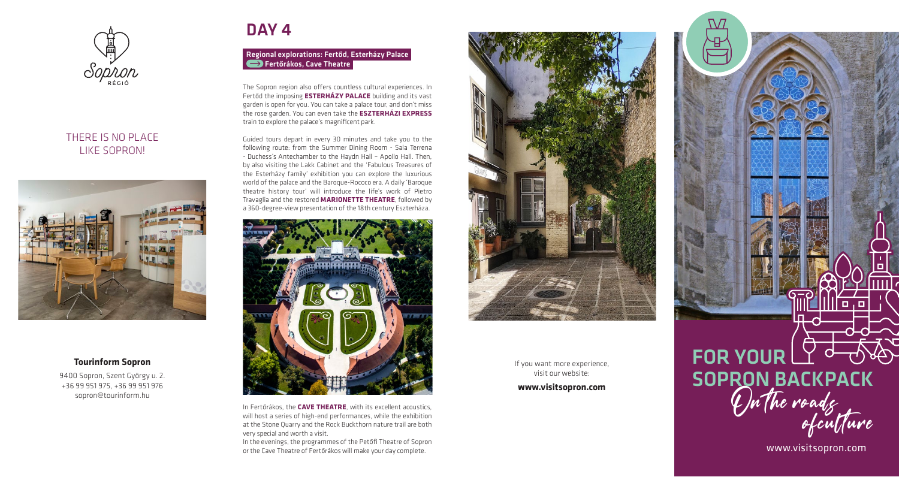

# THERE IS NO PLACE LIKE SOPRON!



# **Tourinform Sopron**

9400 Sopron, Szent György u. 2. +36 99 951 975, +36 99 951 976 sopron@tourinform.hu

# DAY<sub>4</sub>

## Regional explorations: Fertőd, Esterházy Palace Fertőrákos, Cave Theatre

The Sopron region also offers countless cultural experiences. In Fertőd the imposing **ESTERHÁZY PALACE** building and its vast garden is open for you. You can take a palace tour, and don't miss the rose garden. You can even take the **ESZTERHÁZI EXPRESS**  train to explore the palace's magnificent park.

Guided tours depart in every 30 minutes and take you to the following route: from the Summer Dining Room - Sala Terrena - Duchess's Antechamber to the Haydn Hall – Apollo Hall. Then, by also visiting the Lakk Cabinet and the 'Fabulous Treasures of the Esterházy family' exhibition you can explore the luxurious world of the palace and the Baroque-Rococo era. A daily 'Baroque theatre history tour' will introduce the life's work of Pietro Travaglia and the restored **MARIONETTE THEATRE**, followed by a 360-degree-view presentation of the 18th century Eszterháza.



In Fertőrákos, the **CAVE THEATRE**, with its excellent acoustics, will host a series of high-end performances, while the exhibition at the Stone Quarry and the Rock Buckthorn nature trail are both very special and worth a visit.

In the evenings, the programmes of the Petőfi Theatre of Sopron or the Cave Theatre of Fertőrákos will make your day complete.



If you want more experience, visit our website:

**www.visitsopron.com** 

# FOR YOUR LY <sup>d</sup> SOPRON BACKPACK<br>On the roads<br>of culture

www.visitsopron.com